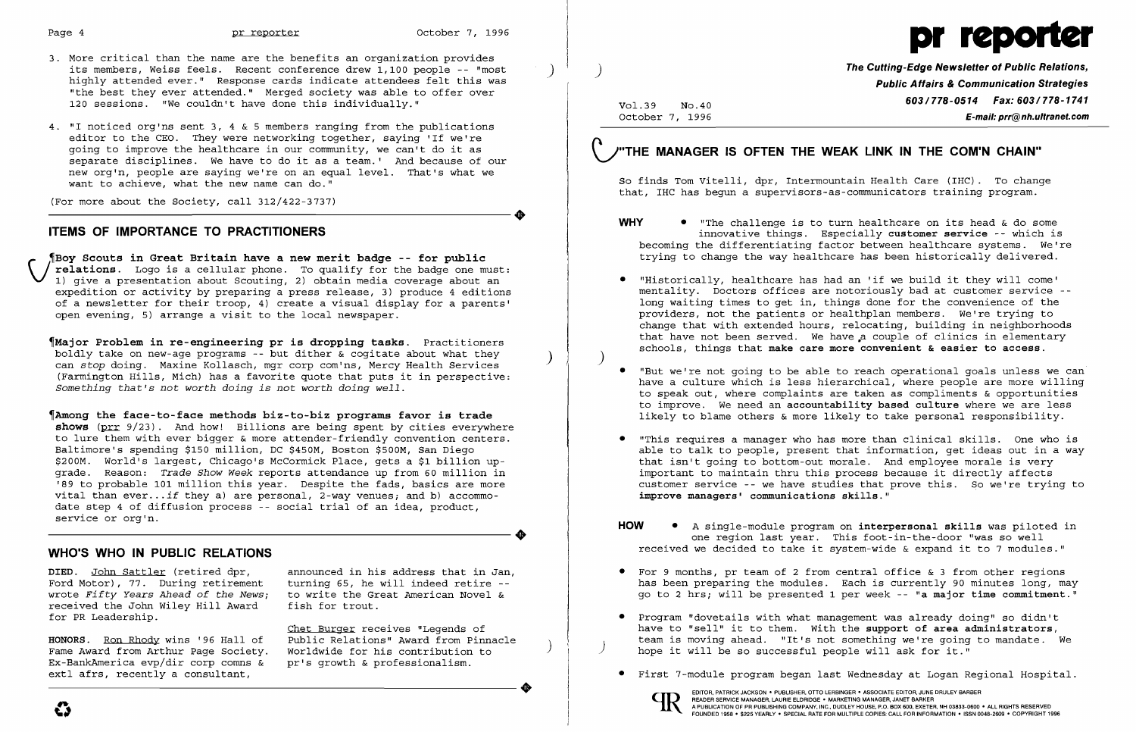- 3. More critical than the name are the benefits an organization provides its members, Weiss feels. Recent conference drew 1,100 people -- "most<br>highly attended ever." Response cards indicate attendees felt this was "the best they ever attended." Merged society was able to offer over 120 sessions. "We couldn't have done this individually."
- 4. "I noticed org'ns sent 3, 4 & 5 members ranging from the publications editor to the CEO. They were networking together, saying 'If we're going to improve the healthcare in our community, we can't do it as separate disciplines. We have to do it as a team.' And because of our new org'n, people are saying we're on an equal level. That's what we want to achieve, what the new name can do." want to achieve, what the new name can do."<br>
(For more about the Society, call  $312/422-3737$ )

(For more about the Society, call 312/422-3737)

## ITEMS OF IMPORTANCE TO PRACTITIONERS

~Boy Scouts in Great Britain have a new merit badge -- for public Vrelations. Logo is a cellular phone. To qualify for the badge one must: 1) give a presentation about Scouting, 2) obtain media coverage about an expedition or activity by preparing a press release, 3) produce 4 editions of a newsletter for their troop, 4) create a visual display for a parents' open evening, 5) arrange a visit to the local newspaper.

Ford Motor), 77. During retirement turning 65, he will indeed retire --<br>wrote Fifty Years Ahead of the News; to write the Great American Novel & wrote *Fifty Years Ahead of the News;* to write the Greecived the John Wiley Hill Award and fish for trout. received the John Wiley Hill Award for PR Leadership.

Ex-BankAmerica evp/dir corp comns & pr's growth & professionalism. extl afrs, recently a consultant, Fame Award from Arthur Page Society. Worldwide for his contribution to<br>Ex-BankAmerica evp/dir corp comns & pr's growth & professionalism.<br>extl afrs, recently a consultant,

DIED. John Sattler (retired dpr, announced in his address that in Jan, turning 65, he will indeed retire --Ī

~Major Problem in re-engineering pr is dropping tasks. Practitioners boldly take on new-age programs -- but dither & cogitate about what they ) can *stop* doing. Maxine Kollasch, mgr corp com'ns, Mercy Health Services (Farmington Hills, Mich) has a favorite quote that puts it in perspective: *Something that's not worth doing is not worth doing well.* 

mentality. Doctors offices are notoriously bad at customer service long waiting times to get in, things done for the convenience of the providers, not the patients or healthplan members. We're trying to change that with extended hours, relocating, building in neighborhoods that have not been served. We have a couple of clinics in elementary

~Among the face-to-face methods biz-to-biz programs favor is trade shows (prr 9/23). And how! Billions are being spent by cities everywhere to lure them with ever bigger & more attender-friendly convention centers. Baltimore's spending \$150 million, DC \$450M, Boston \$500M, San Diego \$200M. World's largest, Chicago's McCormick Place, gets a \$1 billion upgrade. Reason: *Trade Show Week* reports attendance up from 60 million in '89 to probable 101 million this year. Despite the fads, basics are more vital than *ever ...if* they a) are personal, 2-way venues; and b) accommovital than ever...If they a) are personal,  $z$ -way vendes; and b) accommo-<br>date step 4 of diffusion process -- social trial of an idea, product,<br>service or org'n. service or org'n.

## WHO'S WHO IN PUBLIC RELATIONS

- WHY  $\bullet$  "The challenge is to turn healthcare on its head & do some
- • "Historically, healthcare has had an 'if we build it they will come' schools, things that make care more convenient & easier to access.
- • "But we're not going to be able to reach operational goals unless we can
- improve managers' communications skills."
- HOW A single-module program on interpersonal skills was piloted in
- • For 9 months, pr team of 2 from central office & 3 from other regions
- • Program "dovetails with what management was already doing" so didn't
- 

Chet Burger receives "Legends of HONORS. Ron Rhody wins '96 Hall of Public Relations" Award from Pinnacle ) Fame Award from Arthur Page Society. Worldwide for his contribution to

| Vol.39          | No.40 |
|-----------------|-------|
| October 7, 1996 |       |

 $\mathcal{L}$ 



The Cutting-Edge Newsletter of Public Relations, Public Affairs & Communication Strategies 603/778-0514 Fax: 603/778-1741  $E$ -mail: prr@nh.ultranet.com

# V"THE MANAGER IS OFTEN THE WEAK LINK IN THE COM'N CHAIN"

So finds Tom Vitelli, dpr, Intermountain Health Care (IHC). To change that, IHC has begun a supervisors-as-communicators training program.

innovative things. Especially customer service -- which is becoming the differentiating factor between healthcare systems. We're trying to change the way healthcare has been historically delivered.

have a culture which is less hierarchical, where people are more willing to speak out, where complaints are taken as compliments & opportunities to improve. We need an accountability based culture where we are less likely to blame others & more likely to take personal responsibility.

• "This requires a manager who has more than clinical skills. One who is able to talk to people, present that information, get ideas out in a way that isn't going to bottom-out morale. And employee morale is very important to maintain thru this process because it directly affects customer service -- we have studies that prove this. So we're trying to

one region last year. This foot-in-the-door "was so well received we decided to take it system-wide & expand it to 7 modules."

has been preparing the modules. Each is currently 90 minutes long, may go to 2 hrs; will be presented 1 per week -- "a major time commitment."

have to "sell" it to them. With the support of area administrators, team is moving ahead. "It's not something we're going to mandate. We hope it will be so successful people will ask for it."

• First 7-module program began last Wednesday at Logan Regional Hospital.